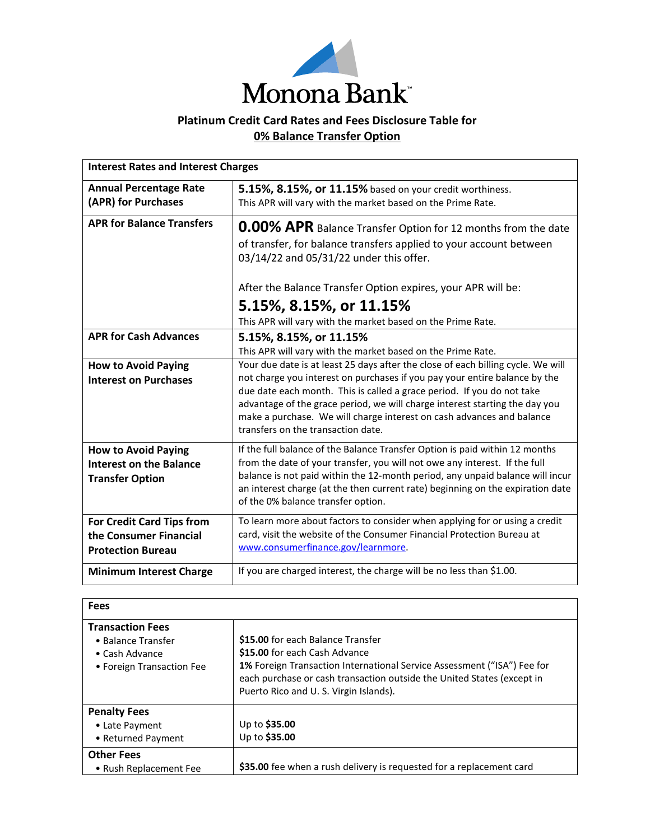

## **Platinum Credit Card Rates and Fees Disclosure Table for 0% Balance Transfer Option**

| <b>Interest Rates and Interest Charges</b>                                             |                                                                                                                                                                                                                                                                                                                                                                                                                                        |
|----------------------------------------------------------------------------------------|----------------------------------------------------------------------------------------------------------------------------------------------------------------------------------------------------------------------------------------------------------------------------------------------------------------------------------------------------------------------------------------------------------------------------------------|
| <b>Annual Percentage Rate</b><br>(APR) for Purchases                                   | 5.15%, 8.15%, or 11.15% based on your credit worthiness.<br>This APR will vary with the market based on the Prime Rate.                                                                                                                                                                                                                                                                                                                |
| <b>APR for Balance Transfers</b>                                                       | 0.00% APR Balance Transfer Option for 12 months from the date<br>of transfer, for balance transfers applied to your account between<br>03/14/22 and 05/31/22 under this offer.                                                                                                                                                                                                                                                         |
|                                                                                        | After the Balance Transfer Option expires, your APR will be:<br>5.15%, 8.15%, or 11.15%<br>This APR will vary with the market based on the Prime Rate.                                                                                                                                                                                                                                                                                 |
| <b>APR for Cash Advances</b>                                                           | 5.15%, 8.15%, or 11.15%<br>This APR will vary with the market based on the Prime Rate.                                                                                                                                                                                                                                                                                                                                                 |
| <b>How to Avoid Paying</b><br><b>Interest on Purchases</b>                             | Your due date is at least 25 days after the close of each billing cycle. We will<br>not charge you interest on purchases if you pay your entire balance by the<br>due date each month. This is called a grace period. If you do not take<br>advantage of the grace period, we will charge interest starting the day you<br>make a purchase. We will charge interest on cash advances and balance<br>transfers on the transaction date. |
| <b>How to Avoid Paying</b><br><b>Interest on the Balance</b><br><b>Transfer Option</b> | If the full balance of the Balance Transfer Option is paid within 12 months<br>from the date of your transfer, you will not owe any interest. If the full<br>balance is not paid within the 12-month period, any unpaid balance will incur<br>an interest charge (at the then current rate) beginning on the expiration date<br>of the 0% balance transfer option.                                                                     |
| <b>For Credit Card Tips from</b><br>the Consumer Financial<br><b>Protection Bureau</b> | To learn more about factors to consider when applying for or using a credit<br>card, visit the website of the Consumer Financial Protection Bureau at<br>www.consumerfinance.gov/learnmore.                                                                                                                                                                                                                                            |
| <b>Minimum Interest Charge</b>                                                         | If you are charged interest, the charge will be no less than \$1.00.                                                                                                                                                                                                                                                                                                                                                                   |

| <b>Fees</b>                                                                                  |                                                                                                                                                                                                                                                                         |
|----------------------------------------------------------------------------------------------|-------------------------------------------------------------------------------------------------------------------------------------------------------------------------------------------------------------------------------------------------------------------------|
| <b>Transaction Fees</b><br>• Balance Transfer<br>• Cash Advance<br>• Foreign Transaction Fee | \$15.00 for each Balance Transfer<br>\$15.00 for each Cash Advance<br><b>1%</b> Foreign Transaction International Service Assessment ("ISA") Fee for<br>each purchase or cash transaction outside the United States (except in<br>Puerto Rico and U.S. Virgin Islands). |
| <b>Penalty Fees</b><br>• Late Payment<br>• Returned Payment                                  | Up to \$35.00<br>Up to \$35.00                                                                                                                                                                                                                                          |
| <b>Other Fees</b><br>• Rush Replacement Fee                                                  | \$35.00 fee when a rush delivery is requested for a replacement card                                                                                                                                                                                                    |